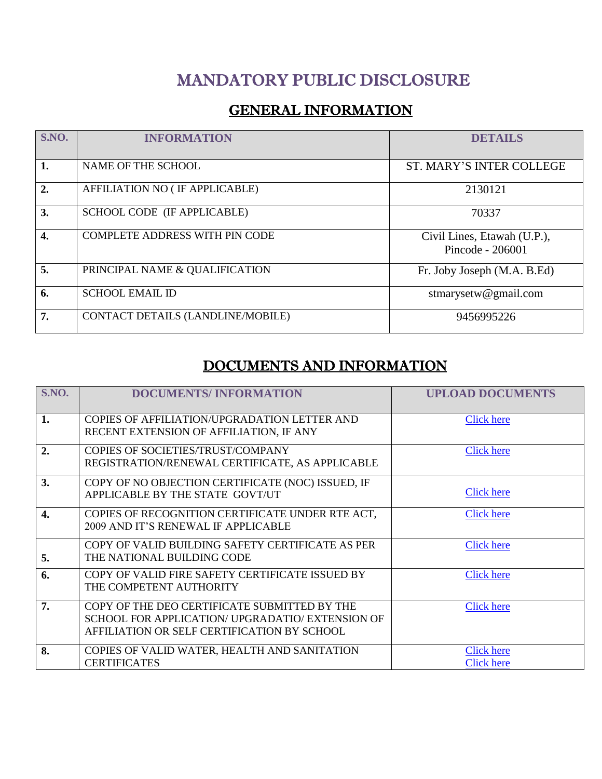# MANDATORY PUBLIC DISCLOSURE

### **GENERAL INFORMATION**

| S.NO.            | <b>INFORMATION</b>                    | <b>DETAILS</b>                                  |
|------------------|---------------------------------------|-------------------------------------------------|
| 1.               | NAME OF THE SCHOOL                    | <b>ST. MARY'S INTER COLLEGE</b>                 |
| $\overline{2}$ . | AFFILIATION NO (IF APPLICABLE)        | 2130121                                         |
| 3.               | SCHOOL CODE (IF APPLICABLE)           | 70337                                           |
| 4.               | <b>COMPLETE ADDRESS WITH PIN CODE</b> | Civil Lines, Etawah (U.P.),<br>Pincode - 206001 |
| 5.               | PRINCIPAL NAME & QUALIFICATION        | Fr. Joby Joseph (M.A. B.Ed)                     |
| 6.               | <b>SCHOOL EMAIL ID</b>                | stmarysetw@gmail.com                            |
| 7.               | CONTACT DETAILS (LANDLINE/MOBILE)     | 9456995226                                      |

## DOCUMENTS AND INFORMATION

| S.NO. | <b>DOCUMENTS/INFORMATION</b>                                                                                                                    | <b>UPLOAD DOCUMENTS</b>                |
|-------|-------------------------------------------------------------------------------------------------------------------------------------------------|----------------------------------------|
| 1.    | COPIES OF AFFILIATION/UPGRADATION LETTER AND<br>RECENT EXTENSION OF AFFILIATION, IF ANY                                                         | <b>Click here</b>                      |
| 2.    | COPIES OF SOCIETIES/TRUST/COMPANY<br>REGISTRATION/RENEWAL CERTIFICATE, AS APPLICABLE                                                            | <b>Click here</b>                      |
| 3.    | COPY OF NO OBJECTION CERTIFICATE (NOC) ISSUED, IF<br>APPLICABLE BY THE STATE GOVT/UT                                                            | Click here                             |
| 4.    | COPIES OF RECOGNITION CERTIFICATE UNDER RTE ACT,<br>2009 AND IT'S RENEWAL IF APPLICABLE                                                         | Click here                             |
| 5.    | COPY OF VALID BUILDING SAFETY CERTIFICATE AS PER<br>THE NATIONAL BUILDING CODE                                                                  | <b>Click here</b>                      |
| 6.    | COPY OF VALID FIRE SAFETY CERTIFICATE ISSUED BY<br>THE COMPETENT AUTHORITY                                                                      | <b>Click here</b>                      |
| 7.    | COPY OF THE DEO CERTIFICATE SUBMITTED BY THE<br>SCHOOL FOR APPLICATION/ UPGRADATIO/ EXTENSION OF<br>AFFILIATION OR SELF CERTIFICATION BY SCHOOL | <b>Click here</b>                      |
| 8.    | COPIES OF VALID WATER, HEALTH AND SANITATION<br><b>CERTIFICATES</b>                                                                             | <b>Click here</b><br><b>Click here</b> |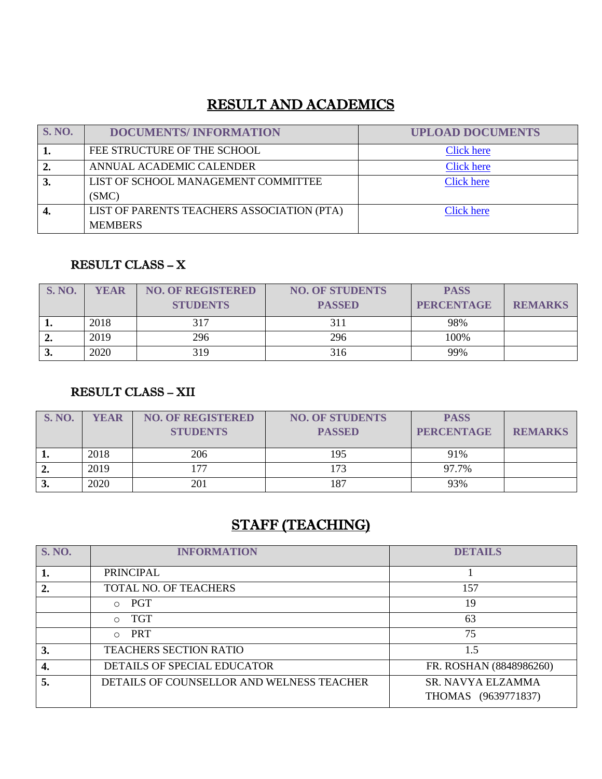### RESULT AND ACADEMICS

| <b>S. NO.</b> | <b>DOCUMENTS/INFORMATION</b>               | <b>UPLOAD DOCUMENTS</b> |
|---------------|--------------------------------------------|-------------------------|
|               | FEE STRUCTURE OF THE SCHOOL                | <b>Click here</b>       |
|               | ANNUAL ACADEMIC CALENDER                   | Click here              |
|               | LIST OF SCHOOL MANAGEMENT COMMITTEE        | <b>Click here</b>       |
|               | (SMC)                                      |                         |
|               | LIST OF PARENTS TEACHERS ASSOCIATION (PTA) | <b>Click here</b>       |
|               | <b>MEMBERS</b>                             |                         |

#### RESULT CLASS – X

| <b>S. NO.</b> | <b>YEAR</b> | <b>NO. OF REGISTERED</b><br><b>STUDENTS</b> | <b>NO. OF STUDENTS</b><br><b>PASSED</b> | <b>PASS</b><br><b>PERCENTAGE</b> | <b>REMARKS</b> |
|---------------|-------------|---------------------------------------------|-----------------------------------------|----------------------------------|----------------|
| . .           | 2018        | 317                                         |                                         | 98%                              |                |
| "             | 2019        | 296                                         | 296                                     | 100%                             |                |
| J.            | 2020        | 319                                         | 316                                     | 99%                              |                |

#### RESULT CLASS – XII

| <b>S. NO.</b> | YEAR | <b>NO. OF REGISTERED</b><br><b>STUDENTS</b> | <b>NO. OF STUDENTS</b><br><b>PASSED</b> | <b>PASS</b><br><b>PERCENTAGE</b> | <b>REMARKS</b> |
|---------------|------|---------------------------------------------|-----------------------------------------|----------------------------------|----------------|
|               | 2018 | 206                                         | 195                                     | 91%                              |                |
| ∸∙            | 2019 | 177                                         | 173                                     | 97.7%                            |                |
| J.            | 2020 | 201                                         | 187                                     | 93%                              |                |

# STAFF (TEACHING)

| <b>S. NO.</b> | <b>INFORMATION</b>                        | <b>DETAILS</b>          |
|---------------|-------------------------------------------|-------------------------|
| 1.            | <b>PRINCIPAL</b>                          |                         |
| 2.            | TOTAL NO. OF TEACHERS                     | 157                     |
|               | PGT<br>$\bigcirc$                         | 19                      |
|               | TGT<br>$\cap$                             | 63                      |
|               | PRT<br>$\bigcirc$                         | 75                      |
| 3.            | <b>TEACHERS SECTION RATIO</b>             | 1.5                     |
| 4.            | DETAILS OF SPECIAL EDUCATOR               | FR. ROSHAN (8848986260) |
| 5.            | DETAILS OF COUNSELLOR AND WELNESS TEACHER | SR. NAVYA ELZAMMA       |
|               |                                           | THOMAS (9639771837)     |